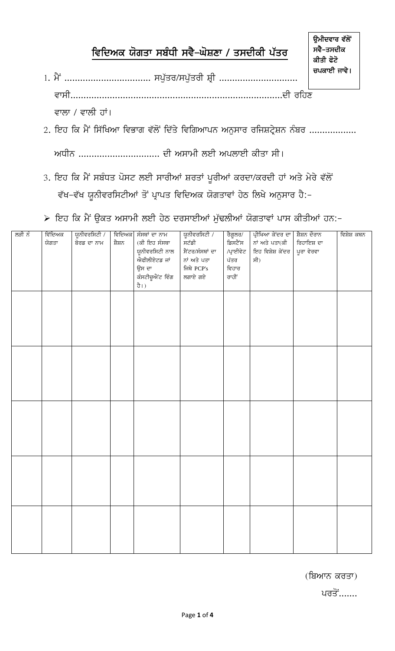## ਵਿਦਿਅਕ ਯੋਗਤਾ ਸਬੰਧੀ ਸਵੈ–ਘੋਸ਼ਣਾ / ਤਸਦੀਕੀ ਪੱਤਰ

- ਵਾਲਾ / ਵਾਲੀ ਹਾਂ।
- 2. ਇਹ ਕਿ ਮੈਂ ਸਿੱਖਿਆ ਵਿਭਾਗ ਵੱਲੋਂ ਦਿੱਤੇ ਵਿਗਿਆਪਨ ਅਨੁਸਾਰ ਰਜਿਸ਼ਟ੍ਰੇਸ਼ਨ ਨੰਬਰ .................

ਅਧੀਨ .............................. ਦੀ ਅਸਾਮੀ ਲਈ ਅਪਲਾਈ ਕੀਤਾ ਸੀ।

3. ਇਹ ਕਿ ਮੈਂ ਸਬੰਧਤ ਪੋਸਟ ਲਈ ਸਾਰੀਆਂ ਸ਼ਰਤਾਂ ਪੂਰੀਆਂ ਕਰਦਾ/ਕਰਦੀ ਹਾਂ ਅਤੇ ਮੇਰੇ ਵੱਲੋਂ ਵੱਖ–ਵੱਖ ਯੂਨੀਵਰਸਿਟੀਆਂ ਤੋਂ ਪ੍ਰਾਪਤ ਵਿਦਿਅਕ ਯੋਗਤਾਵਾਂ ਹੇਠ ਲਿਖੇ ਅਨੁਸਾਰ ਹੈ:-

≻ ਇਹ ਕਿ ਮੈਂ ਉਕਤ ਅਸਾਮੀ ਲਈ ਹੇਠ ਦਰਸਾਈਆਂ ਮੁੱਢਲੀਆਂ ਯੋਗਤਾਵਾਂ ਪਾਸ ਕੀਤੀਆਂ ਹਨ:-

| ਲੜੀ ਨੰ | ਵਿੱਦਿਅਕ | ਯੂਨੀਵਰਸਿਟੀ / |        | ਵਿਦਿਅਕ ਸੰਸਥਾਂ ਦਾ ਨਾਮ | ਯੂਨੀਵਰਸਿਟੀ /    | ਰੈਗੂਲਰ/   | ਪ੍ਰੀਖਿਆ ਕੇਂਦਰ ਦਾ   ਸ਼ੈਸ਼ਨ ਦੌਰਾਨ |            | ਵਿਸ਼ੇਸ਼ ਕਥਨ |
|--------|---------|--------------|--------|----------------------|-----------------|-----------|---------------------------------|------------|-------------|
|        | ਯੋਗਤਾ   | ਬੋਰਡ ਦਾ ਨਾਮ  | ਸ਼ੈਸ਼ਨ | (ਕੀ ਇਹ ਸੰਸਥਾ         | ਸਟੱਡੀ           | ਡਿਸਟੈਂਸ   | ਨਾਂ ਅਤੇ ਪਤਾ(ਕੀ                  | ਰਿਹਾਇਸ਼ ਦਾ |             |
|        |         |              |        | ਯੂਨੀਵਰਸਿਟੀ ਨਾਲ       | ਸੈਂਟਰ/ਸੰਸਥਾਂ ਦਾ | /ਪ੍ਰਾਈਵੇਟ | ਇਹ ਵਿਸ਼ੇਸ਼ ਕੇਂਦਰ                | ਪੂਰਾ ਵੇਰਵਾ |             |
|        |         |              |        | ਐਫੀਲੀਏਟਡ ਜਾਂ         | ਨਾਂ ਅਤੇ ਪਤਾ     | ਪੱਤਰ      | ਸੀ $)$                          |            |             |
|        |         |              |        | ਉਸ ਦਾ                | ਜਿਥੇ $PCP's$    | ਵਿਹਾਰ     |                                 |            |             |
|        |         |              |        | ਕੰਸਟੀਚੂਐਂਟ ਵਿੰਗ      | ਲਗਾਏ ਗਏ         | ਰਾਹੀਂ     |                                 |            |             |
|        |         |              |        | ਹੈ।)                 |                 |           |                                 |            |             |
|        |         |              |        |                      |                 |           |                                 |            |             |
|        |         |              |        |                      |                 |           |                                 |            |             |
|        |         |              |        |                      |                 |           |                                 |            |             |
|        |         |              |        |                      |                 |           |                                 |            |             |
|        |         |              |        |                      |                 |           |                                 |            |             |
|        |         |              |        |                      |                 |           |                                 |            |             |
|        |         |              |        |                      |                 |           |                                 |            |             |
|        |         |              |        |                      |                 |           |                                 |            |             |
|        |         |              |        |                      |                 |           |                                 |            |             |
|        |         |              |        |                      |                 |           |                                 |            |             |
|        |         |              |        |                      |                 |           |                                 |            |             |
|        |         |              |        |                      |                 |           |                                 |            |             |
|        |         |              |        |                      |                 |           |                                 |            |             |
|        |         |              |        |                      |                 |           |                                 |            |             |
|        |         |              |        |                      |                 |           |                                 |            |             |
|        |         |              |        |                      |                 |           |                                 |            |             |
|        |         |              |        |                      |                 |           |                                 |            |             |
|        |         |              |        |                      |                 |           |                                 |            |             |
|        |         |              |        |                      |                 |           |                                 |            |             |
|        |         |              |        |                      |                 |           |                                 |            |             |
|        |         |              |        |                      |                 |           |                                 |            |             |
|        |         |              |        |                      |                 |           |                                 |            |             |
|        |         |              |        |                      |                 |           |                                 |            |             |
|        |         |              |        |                      |                 |           |                                 |            |             |
|        |         |              |        |                      |                 |           |                                 |            |             |
|        |         |              |        |                      |                 |           |                                 |            |             |
|        |         |              |        |                      |                 |           |                                 |            |             |
|        |         |              |        |                      |                 |           |                                 |            |             |
|        |         |              |        |                      |                 |           |                                 |            |             |
|        |         |              |        |                      |                 |           |                                 |            |             |

<u>ਪਰਤੋਂ.......</u>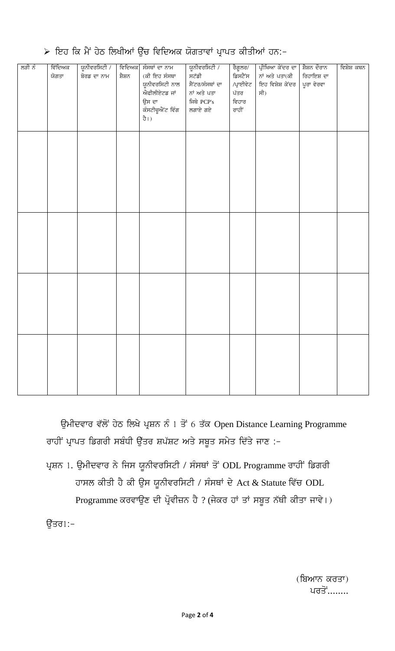| ਲੜੀ ਨੂੰ | ਵਿੱਦਿਅਕ | ਯੂਨੀਵਰਸਿਟੀ / | ਵਿਦਿਅਕ | ਸੰਸਥਾਂ ਦਾ ਨਾਮ   | ਯੂਨੀਵਰਸਿਟੀ /    |                    | ਪ੍ਰੀਖਿਆ ਕੇਂਦਰ ਦਾ   ਸ਼ੈਸ਼ਨ ਦੌਰਾਨ |            | ਵਿਸ਼ੇਸ਼ ਕਥਨ |
|---------|---------|--------------|--------|-----------------|-----------------|--------------------|---------------------------------|------------|-------------|
|         | ਯੋਗਤਾ   | ਬੋਰਡ ਦਾ ਨਾਮ  | ਸ਼ੈਸ਼ਨ | (ਕੀ ਇਹ ਸੰਸਥਾ    | ਸਟੱਡੀ           | ਰੈਗੂਲਰ/<br>ਡਿਸਟੈਂਸ | ਨਾਂ ਅਤੇ ਪਤਾ(ਕੀ                  | ਰਿਹਾਇਸ਼ ਦਾ |             |
|         |         |              |        | ਯੂਨੀਵਰਸਿਟੀ ਨਾਲ  | ਸੈਂਟਰ/ਸੰਸਥਾਂ ਦਾ | /ਪ੍ਰਾਈਵੇਟ          | ਇਹ ਵਿਸ਼ੇਸ਼ ਕੇਂਦਰ                | ਪੂਰਾ ਵੇਰਵਾ |             |
|         |         |              |        | ਐਫੀਲੀਏਟਡ ਜਾਂ    | ਨਾਂ ਅਤੇ ਪਤਾ     | ਪੱਤਰ               | ਸੀ)                             |            |             |
|         |         |              |        | ਉਸ ਦਾ           | ਜਿਥੇ $PCP's$    | ਵਿਹਾਰ              |                                 |            |             |
|         |         |              |        | ਕੰਸਟੀਚੂਐਂਟ ਵਿੰਗ | ਲਗਾਏ ਗਏ         | ਰਾਹੀਂ              |                                 |            |             |
|         |         |              |        | ਹੈ।)            |                 |                    |                                 |            |             |
|         |         |              |        |                 |                 |                    |                                 |            |             |
|         |         |              |        |                 |                 |                    |                                 |            |             |
|         |         |              |        |                 |                 |                    |                                 |            |             |
|         |         |              |        |                 |                 |                    |                                 |            |             |
|         |         |              |        |                 |                 |                    |                                 |            |             |
|         |         |              |        |                 |                 |                    |                                 |            |             |
|         |         |              |        |                 |                 |                    |                                 |            |             |
|         |         |              |        |                 |                 |                    |                                 |            |             |
|         |         |              |        |                 |                 |                    |                                 |            |             |
|         |         |              |        |                 |                 |                    |                                 |            |             |
|         |         |              |        |                 |                 |                    |                                 |            |             |
|         |         |              |        |                 |                 |                    |                                 |            |             |
|         |         |              |        |                 |                 |                    |                                 |            |             |
|         |         |              |        |                 |                 |                    |                                 |            |             |
|         |         |              |        |                 |                 |                    |                                 |            |             |
|         |         |              |        |                 |                 |                    |                                 |            |             |
|         |         |              |        |                 |                 |                    |                                 |            |             |
|         |         |              |        |                 |                 |                    |                                 |            |             |
|         |         |              |        |                 |                 |                    |                                 |            |             |
|         |         |              |        |                 |                 |                    |                                 |            |             |
|         |         |              |        |                 |                 |                    |                                 |            |             |
|         |         |              |        |                 |                 |                    |                                 |            |             |
|         |         |              |        |                 |                 |                    |                                 |            |             |
|         |         |              |        |                 |                 |                    |                                 |            |             |
|         |         |              |        |                 |                 |                    |                                 |            |             |
|         |         |              |        |                 |                 |                    |                                 |            |             |
|         |         |              |        |                 |                 |                    |                                 |            |             |
|         |         |              |        |                 |                 |                    |                                 |            |             |
|         |         |              |        |                 |                 |                    |                                 |            |             |
|         |         |              |        |                 |                 |                    |                                 |            |             |

## ≻ ਇਹ ਕਿ ਮੈਂ ਹੇਠ ਲਿਖੀਆਂ ਉੱਚ ਵਿਦਿਅਕ ਯੋਗਤਾਵਾਂ ਪ੍ਰਾਪਤ ਕੀਤੀਆਂ ਹਨ:-

ਉਮੀਦਵਾਰ ਵੱਲੋਂ ਹੇਠ ਲਿਖੇ ਪ੍ਰਸ਼ਨ ਨੰ 1 ਤੋਂ 6 ਤੱਕ Open Distance Learning Programme ਰਾਹੀਂ ਪ੍ਰਾਪਤ ਡਿਗਰੀ ਸਬੰਧੀ ਉੱਤਰ ਸ਼ਪੱਸ਼ਟ ਅਤੇ ਸਬੂਤ ਸਮੇਤ ਦਿੱਤੇ ਜਾਣ :-

ਪ੍ਰਸ਼ਨ 1. ਉਮੀਦਵਾਰ ਨੇ ਜਿਸ ਯੂਨੀਵਰਸਿਟੀ / ਸੰਸਥਾਂ ਤੋਂ ODL Programme ਰਾਹੀਂ ਡਿਗਰੀ ਹਾਸਲ ਕੀਤੀ ਹੈ ਕੀ ਉਸ ਯੂਨੀਵਰਸਿਟੀ / ਸੰਸਥਾਂ ਦੇ Act & Statute ਵਿੱਚ ODL Programme ਕਰਵਾਉਣ ਦੀ ਪ੍ਰੋਵੀਜ਼ਨ ਹੈ ? (ਜੇਕਰ ਹਾਂ ਤਾਂ ਸਬੂਤ ਨੱਥੀ ਕੀਤਾ ਜਾਵੇ।)

ਉੱਤਰ1:-

(ਬਿਆਨ ਕਰਤਾ) <u>ਪਰਤੋਂ........</u>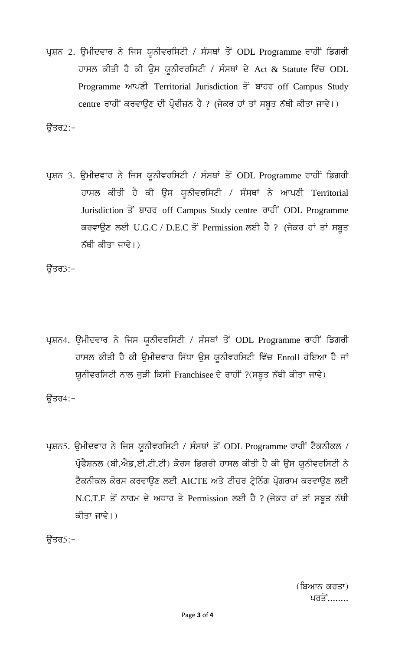ਪ੍ਰਸ਼ਨ 2. ਉਮੀਦਵਾਰ ਨੇ ਜਿਸ ਯੁਨੀਵਰਸਿਟੀ / ਸੰਸਥਾਂ ਤੋਂ ODL Programme ਰਾਹੀਂ ਡਿਗਰੀ ਹਾਸਲ ਕੀਤੀ ਹੈ ਕੀ ਉਸ ਯੂਨੀਵਰਸਿਟੀ / ਸੰਸਥਾਂ ਦੇ Act & Statute ਵਿੱਚ ODL Programme ਆਪਣੀ Territorial Jurisdiction ਤੋਂ ਬਾਹਰ off Campus Study centre ਰਾਹੀਂ ਕਰਵਾਉਣ ਦੀ ਪ੍ਰੋਵੀਜ਼ਨ ਹੈ ? (ਜੇਕਰ ਹਾਂ ਤਾਂ ਸਬੂਤ ਨੱਥੀ ਕੀਤਾ ਜਾਵੇ।)

ਉੱਤਰ2:–

ਪ੍ਰਸ਼ਨ 3. ਉਮੀਦਵਾਰ ਨੇ ਜਿਸ ਯੂਨੀਵਰਸਿਟੀ / ਸੰਸਥਾਂ ਤੋਂ ODL Programme ਰਾਹੀਂ ਡਿਗਰੀ ਹਾਸਲ ਕੀਤੀ ਹੈ ਕੀ ਉਸ ਯੂਨੀਵਰਸਿਟੀ / ਸੰਸਥਾਂ ਨੇ ਆਪਣੀ Territorial Jurisdiction ਤੋਂ ਬਾਹਰ off Campus Study centre ਰਾਹੀਂ ODL Programme ਕਰਵਾਉਣ ਲਈ U.G.C / D.E.C ਤੋਂ Permission ਲਈ ਹੈ ? (ਜੇਕਰ ਹਾਂ ਤਾਂ ਸਬੂਤ ਨੱਥੀ ਕੀਤਾ ਜਾਵੇ।)

ਉੱਤਰ3:–

ਪ੍ਰਸ਼ਨ4. ਉਮੀਦਵਾਰ ਨੇ ਜਿਸ ਯੂਨੀਵਰਸਿਟੀ / ਸੰਸਥਾਂ ਤੋਂ ODL Programme ਰਾਹੀਂ ਡਿਗਰੀ ਹਾਸਲ ਕੀਤੀ ਹੈ ਕੀ ਉਮੀਦਵਾਰ ਸਿੱਧਾ ਉਸ ਯੂਨੀਵਰਸਿਟੀ ਵਿੱਚ Enroll ਹੋਇਆ ਹੈ ਜਾਂ ਯੂਨੀਵਰਸਿਟੀ ਨਾਲ ਜੁੜੀ ਕਿਸੀ Franchisee ਦੇ ਰਾਹੀਂ ?(ਸਬੂਤ ਨੱਥੀ ਕੀਤਾ ਜਾਵੇ)

ਉੱਤਰ4:–

ਪ੍ਰਸ਼ਨ5. ਉਮੀਦਵਾਰ ਨੇ ਜਿਸ ਯੂਨੀਵਰਸਿਟੀ / ਸੰਸਥਾਂ ਤੋਂ ODL Programme ਰਾਹੀਂ ਟੈਕਨੀਕਲ / ਪ੍ਰੋਫੈਸ਼ਨਲ (ਬੀ.ਐਡ,ਈ.ਟੀ.ਟੀ) ਕੋਰਸ ਡਿਗਰੀ ਹਾਸਲ ਕੀਤੀ ਹੈ ਕੀ ਉਸ ਯੂਨੀਵਰਸਿਟੀ ਨੇ ਟੈਕਨੀਕਲ ਕੋਰਸ ਕਰਵਾਉਣ ਲਈ AICTE ਅਤੇ ਟੀਚਰ ਟ੍ਰੇਨਿੰਗ ਪ੍ਰੋਗਰਾਮ ਕਰਵਾਉਣ ਲਈ N.C.T.E ਤੋਂ ਨਾਰਮ ਦੇ ਅਧਾਰ ਤੇ Permission ਲਈ ਹੈ ? (ਜੇਕਰ ਹਾਂ ਤਾਂ ਸਬੂਤ ਨੱਥੀ ਕੀਤਾ ਜਾਵੇ।)

ਉੱਤਰ5:–